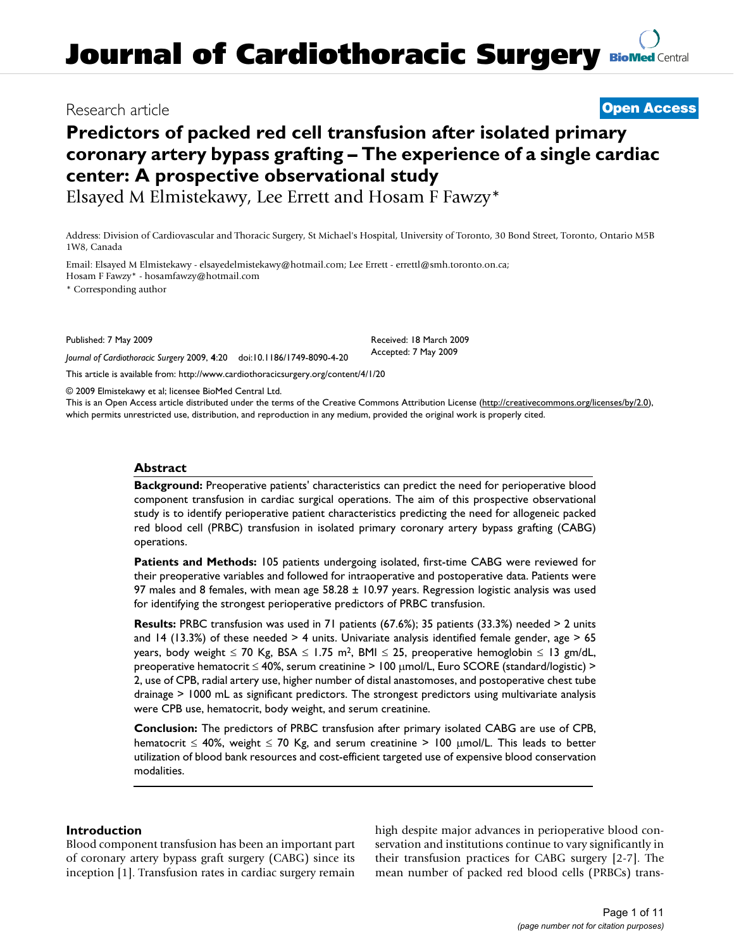# Research article **[Open Access](http://www.biomedcentral.com/info/about/charter/)**

# **Predictors of packed red cell transfusion after isolated primary coronary artery bypass grafting – The experience of a single cardiac center: A prospective observational study**

Elsayed M Elmistekawy, Lee Errett and Hosam F Fawzy\*

Address: Division of Cardiovascular and Thoracic Surgery, St Michael's Hospital, University of Toronto, 30 Bond Street, Toronto, Ontario M5B 1W8, Canada

Email: Elsayed M Elmistekawy - elsayedelmistekawy@hotmail.com; Lee Errett - errettl@smh.toronto.on.ca;

Hosam F Fawzy\* - hosamfawzy@hotmail.com

\* Corresponding author

Published: 7 May 2009

*Journal of Cardiothoracic Surgery* 2009, **4**:20 doi:10.1186/1749-8090-4-20

[This article is available from: http://www.cardiothoracicsurgery.org/content/4/1/20](http://www.cardiothoracicsurgery.org/content/4/1/20)

© 2009 Elmistekawy et al; licensee BioMed Central Ltd.

This is an Open Access article distributed under the terms of the Creative Commons Attribution License [\(http://creativecommons.org/licenses/by/2.0\)](http://creativecommons.org/licenses/by/2.0), which permits unrestricted use, distribution, and reproduction in any medium, provided the original work is properly cited.

Received: 18 March 2009 Accepted: 7 May 2009

#### **Abstract**

**Background:** Preoperative patients' characteristics can predict the need for perioperative blood component transfusion in cardiac surgical operations. The aim of this prospective observational study is to identify perioperative patient characteristics predicting the need for allogeneic packed red blood cell (PRBC) transfusion in isolated primary coronary artery bypass grafting (CABG) operations.

**Patients and Methods:** 105 patients undergoing isolated, first-time CABG were reviewed for their preoperative variables and followed for intraoperative and postoperative data. Patients were 97 males and 8 females, with mean age  $58.28 \pm 10.97$  years. Regression logistic analysis was used for identifying the strongest perioperative predictors of PRBC transfusion.

**Results:** PRBC transfusion was used in 71 patients (67.6%); 35 patients (33.3%) needed > 2 units and 14 (13.3%) of these needed  $>$  4 units. Univariate analysis identified female gender, age  $>$  65 years, body weight  $≤ 70$  Kg, BSA  $≤ 1.75$  m<sup>2</sup>, BMI  $≤ 25$ , preoperative hemoglobin  $≤ 13$  gm/dL, preoperative hematocrit ≤ 40%, serum creatinine > 100 μmol/L, Euro SCORE (standard/logistic) > 2, use of CPB, radial artery use, higher number of distal anastomoses, and postoperative chest tube drainage > 1000 mL as significant predictors. The strongest predictors using multivariate analysis were CPB use, hematocrit, body weight, and serum creatinine.

**Conclusion:** The predictors of PRBC transfusion after primary isolated CABG are use of CPB, hematocrit  $\leq$  40%, weight  $\leq$  70 Kg, and serum creatinine > 100  $\mu$ mol/L. This leads to better utilization of blood bank resources and cost-efficient targeted use of expensive blood conservation modalities.

#### **Introduction**

Blood component transfusion has been an important part of coronary artery bypass graft surgery (CABG) since its inception [1]. Transfusion rates in cardiac surgery remain high despite major advances in perioperative blood conservation and institutions continue to vary significantly in their transfusion practices for CABG surgery [2-7]. The mean number of packed red blood cells (PRBCs) trans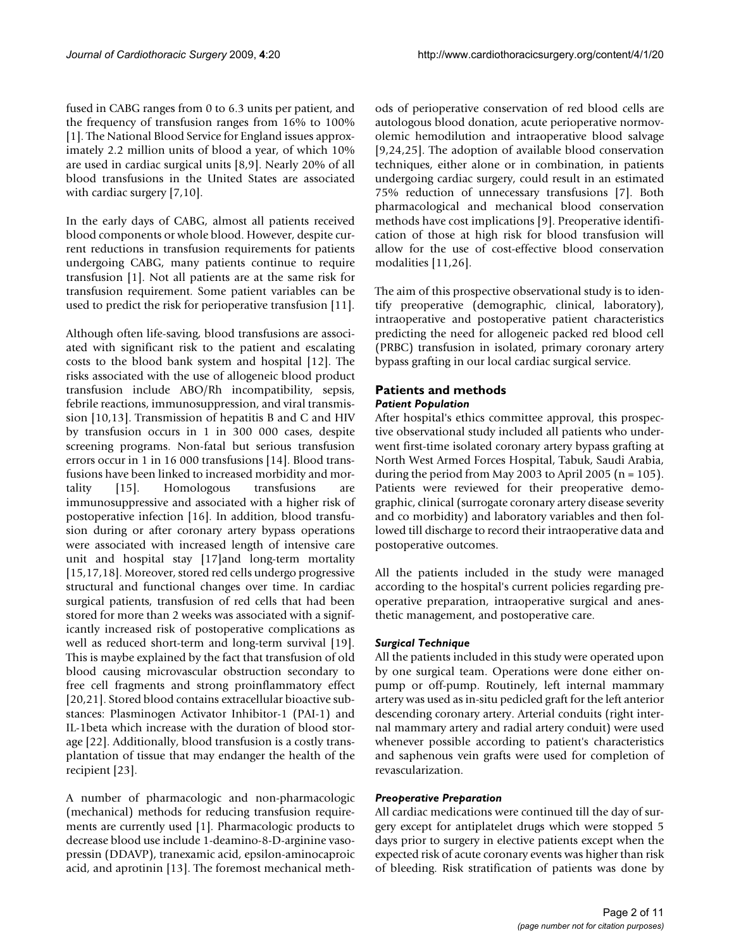fused in CABG ranges from 0 to 6.3 units per patient, and the frequency of transfusion ranges from 16% to 100% [1]. The National Blood Service for England issues approximately 2.2 million units of blood a year, of which 10% are used in cardiac surgical units [8,9]. Nearly 20% of all blood transfusions in the United States are associated with cardiac surgery [7,10].

In the early days of CABG, almost all patients received blood components or whole blood. However, despite current reductions in transfusion requirements for patients undergoing CABG, many patients continue to require transfusion [1]. Not all patients are at the same risk for transfusion requirement. Some patient variables can be used to predict the risk for perioperative transfusion [11].

Although often life-saving, blood transfusions are associated with significant risk to the patient and escalating costs to the blood bank system and hospital [12]. The risks associated with the use of allogeneic blood product transfusion include ABO/Rh incompatibility, sepsis, febrile reactions, immunosuppression, and viral transmission [10,13]. Transmission of hepatitis B and C and HIV by transfusion occurs in 1 in 300 000 cases, despite screening programs. Non-fatal but serious transfusion errors occur in 1 in 16 000 transfusions [14]. Blood transfusions have been linked to increased morbidity and mortality [15]. Homologous transfusions are immunosuppressive and associated with a higher risk of postoperative infection [16]. In addition, blood transfusion during or after coronary artery bypass operations were associated with increased length of intensive care unit and hospital stay [17]and long-term mortality [15,17,18]. Moreover, stored red cells undergo progressive structural and functional changes over time. In cardiac surgical patients, transfusion of red cells that had been stored for more than 2 weeks was associated with a significantly increased risk of postoperative complications as well as reduced short-term and long-term survival [19]. This is maybe explained by the fact that transfusion of old blood causing microvascular obstruction secondary to free cell fragments and strong proinflammatory effect [20,21]. Stored blood contains extracellular bioactive substances: Plasminogen Activator Inhibitor-1 (PAI-1) and IL-1beta which increase with the duration of blood storage [22]. Additionally, blood transfusion is a costly transplantation of tissue that may endanger the health of the recipient [23].

A number of pharmacologic and non-pharmacologic (mechanical) methods for reducing transfusion requirements are currently used [1]. Pharmacologic products to decrease blood use include 1-deamino-8-D-arginine vasopressin (DDAVP), tranexamic acid, epsilon-aminocaproic acid, and aprotinin [13]. The foremost mechanical methods of perioperative conservation of red blood cells are autologous blood donation, acute perioperative normovolemic hemodilution and intraoperative blood salvage [9,24,25]. The adoption of available blood conservation techniques, either alone or in combination, in patients undergoing cardiac surgery, could result in an estimated 75% reduction of unnecessary transfusions [7]. Both pharmacological and mechanical blood conservation methods have cost implications [9]. Preoperative identification of those at high risk for blood transfusion will allow for the use of cost-effective blood conservation modalities [11,26].

The aim of this prospective observational study is to identify preoperative (demographic, clinical, laboratory), intraoperative and postoperative patient characteristics predicting the need for allogeneic packed red blood cell (PRBC) transfusion in isolated, primary coronary artery bypass grafting in our local cardiac surgical service.

## **Patients and methods**

#### *Patient Population*

After hospital's ethics committee approval, this prospective observational study included all patients who underwent first-time isolated coronary artery bypass grafting at North West Armed Forces Hospital, Tabuk, Saudi Arabia, during the period from May 2003 to April 2005 ( $n = 105$ ). Patients were reviewed for their preoperative demographic, clinical (surrogate coronary artery disease severity and co morbidity) and laboratory variables and then followed till discharge to record their intraoperative data and postoperative outcomes.

All the patients included in the study were managed according to the hospital's current policies regarding preoperative preparation, intraoperative surgical and anesthetic management, and postoperative care.

#### *Surgical Technique*

All the patients included in this study were operated upon by one surgical team. Operations were done either onpump or off-pump. Routinely, left internal mammary artery was used as in-situ pedicled graft for the left anterior descending coronary artery. Arterial conduits (right internal mammary artery and radial artery conduit) were used whenever possible according to patient's characteristics and saphenous vein grafts were used for completion of revascularization.

#### *Preoperative Preparation*

All cardiac medications were continued till the day of surgery except for antiplatelet drugs which were stopped 5 days prior to surgery in elective patients except when the expected risk of acute coronary events was higher than risk of bleeding. Risk stratification of patients was done by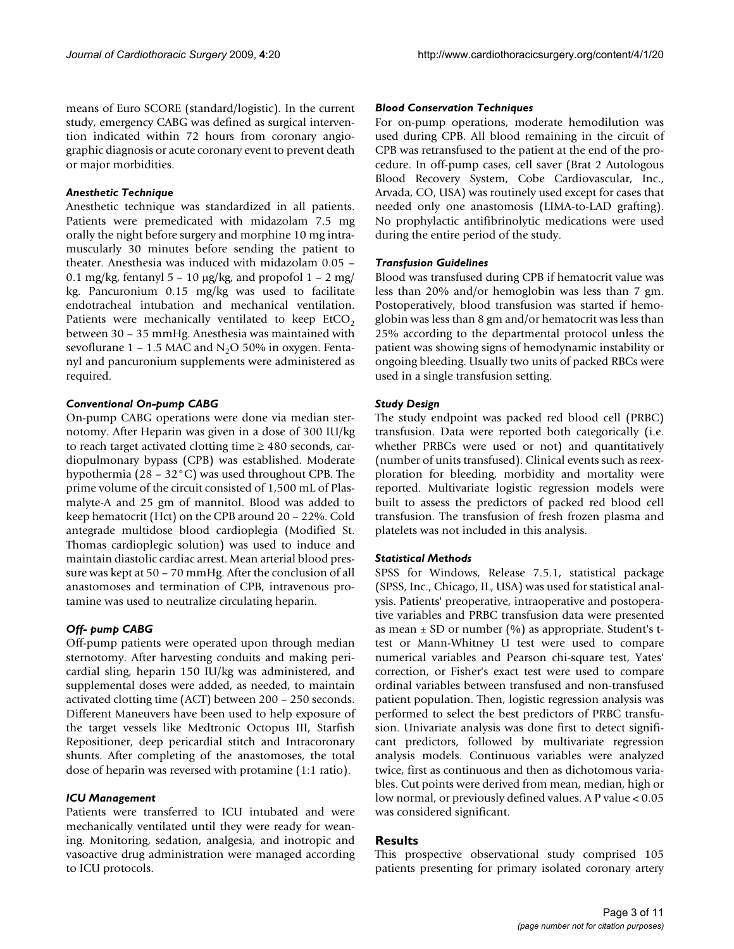means of Euro SCORE (standard/logistic). In the current study, emergency CABG was defined as surgical intervention indicated within 72 hours from coronary angiographic diagnosis or acute coronary event to prevent death or major morbidities.

#### *Anesthetic Technique*

Anesthetic technique was standardized in all patients. Patients were premedicated with midazolam 7.5 mg orally the night before surgery and morphine 10 mg intramuscularly 30 minutes before sending the patient to theater. Anesthesia was induced with midazolam 0.05 – 0.1 mg/kg, fentanyl  $5 - 10 \mu g/kg$ , and propofol  $1 - 2 \mu g$ kg. Pancuronium 0.15 mg/kg was used to facilitate endotracheal intubation and mechanical ventilation. Patients were mechanically ventilated to keep  $ECO<sub>2</sub>$ between 30 – 35 mmHg. Anesthesia was maintained with sevoflurane  $1 - 1.5$  MAC and N<sub>2</sub>O 50% in oxygen. Fentanyl and pancuronium supplements were administered as required.

#### *Conventional On-pump CABG*

On-pump CABG operations were done via median sternotomy. After Heparin was given in a dose of 300 IU/kg to reach target activated clotting time  $\geq$  480 seconds, cardiopulmonary bypass (CPB) was established. Moderate hypothermia (28 – 32°C) was used throughout CPB. The prime volume of the circuit consisted of 1,500 mL of Plasmalyte-A and 25 gm of mannitol. Blood was added to keep hematocrit (Hct) on the CPB around 20 – 22%. Cold antegrade multidose blood cardioplegia (Modified St. Thomas cardioplegic solution) was used to induce and maintain diastolic cardiac arrest. Mean arterial blood pressure was kept at 50 – 70 mmHg. After the conclusion of all anastomoses and termination of CPB, intravenous protamine was used to neutralize circulating heparin.

#### *Off- pump CABG*

Off-pump patients were operated upon through median sternotomy. After harvesting conduits and making pericardial sling, heparin 150 IU/kg was administered, and supplemental doses were added, as needed, to maintain activated clotting time (ACT) between 200 – 250 seconds. Different Maneuvers have been used to help exposure of the target vessels like Medtronic Octopus III, Starfish Repositioner, deep pericardial stitch and Intracoronary shunts. After completing of the anastomoses, the total dose of heparin was reversed with protamine (1:1 ratio).

#### *ICU Management*

Patients were transferred to ICU intubated and were mechanically ventilated until they were ready for weaning. Monitoring, sedation, analgesia, and inotropic and vasoactive drug administration were managed according to ICU protocols.

#### *Blood Conservation Techniques*

For on-pump operations, moderate hemodilution was used during CPB. All blood remaining in the circuit of CPB was retransfused to the patient at the end of the procedure. In off-pump cases, cell saver (Brat 2 Autologous Blood Recovery System, Cobe Cardiovascular, Inc., Arvada, CO, USA) was routinely used except for cases that needed only one anastomosis (LIMA-to-LAD grafting). No prophylactic antifibrinolytic medications were used during the entire period of the study.

#### *Transfusion Guidelines*

Blood was transfused during CPB if hematocrit value was less than 20% and/or hemoglobin was less than 7 gm. Postoperatively, blood transfusion was started if hemoglobin was less than 8 gm and/or hematocrit was less than 25% according to the departmental protocol unless the patient was showing signs of hemodynamic instability or ongoing bleeding. Usually two units of packed RBCs were used in a single transfusion setting.

#### *Study Design*

The study endpoint was packed red blood cell (PRBC) transfusion. Data were reported both categorically (i.e. whether PRBCs were used or not) and quantitatively (number of units transfused). Clinical events such as reexploration for bleeding, morbidity and mortality were reported. Multivariate logistic regression models were built to assess the predictors of packed red blood cell transfusion. The transfusion of fresh frozen plasma and platelets was not included in this analysis.

#### *Statistical Methods*

SPSS for Windows, Release 7.5.1, statistical package (SPSS, Inc., Chicago, IL, USA) was used for statistical analysis. Patients' preoperative, intraoperative and postoperative variables and PRBC transfusion data were presented as mean  $\pm$  SD or number (%) as appropriate. Student's ttest or Mann-Whitney U test were used to compare numerical variables and Pearson chi-square test, Yates' correction, or Fisher's exact test were used to compare ordinal variables between transfused and non-transfused patient population. Then, logistic regression analysis was performed to select the best predictors of PRBC transfusion. Univariate analysis was done first to detect significant predictors, followed by multivariate regression analysis models. Continuous variables were analyzed twice, first as continuous and then as dichotomous variables. Cut points were derived from mean, median, high or low normal, or previously defined values. A P value < 0.05 was considered significant.

#### **Results**

This prospective observational study comprised 105 patients presenting for primary isolated coronary artery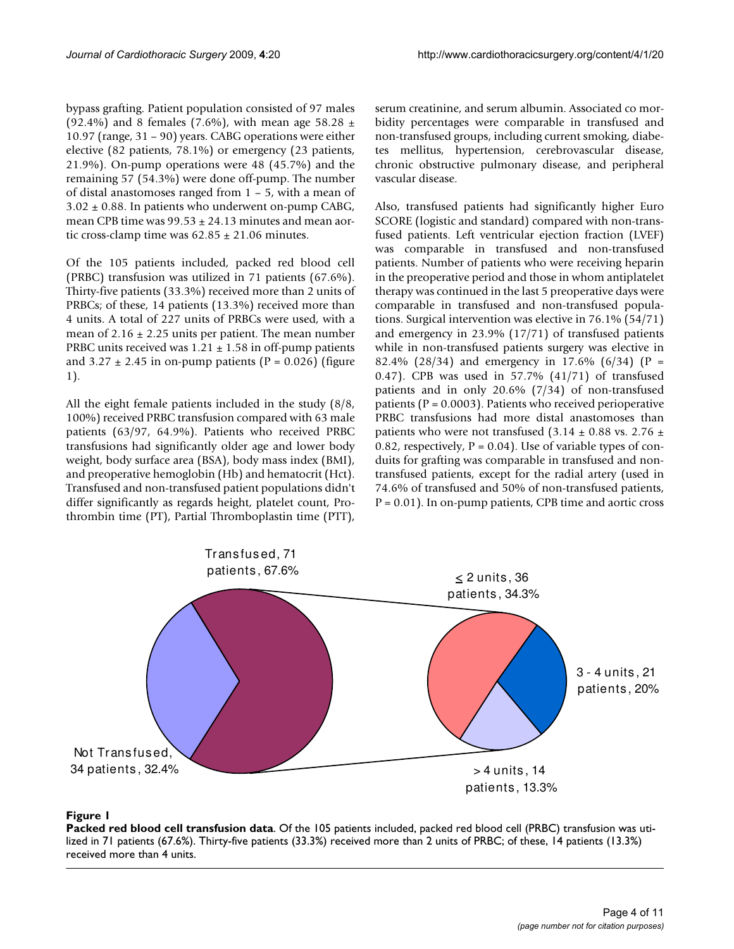bypass grafting. Patient population consisted of 97 males (92.4%) and 8 females (7.6%), with mean age 58.28  $\pm$ 10.97 (range, 31 – 90) years. CABG operations were either elective (82 patients, 78.1%) or emergency (23 patients, 21.9%). On-pump operations were 48 (45.7%) and the remaining 57 (54.3%) were done off-pump. The number of distal anastomoses ranged from 1 – 5, with a mean of  $3.02 \pm 0.88$ . In patients who underwent on-pump CABG, mean CPB time was  $99.53 \pm 24.13$  minutes and mean aortic cross-clamp time was  $62.85 \pm 21.06$  minutes.

Of the 105 patients included, packed red blood cell (PRBC) transfusion was utilized in 71 patients (67.6%). Thirty-five patients (33.3%) received more than 2 units of PRBCs; of these, 14 patients (13.3%) received more than 4 units. A total of 227 units of PRBCs were used, with a mean of  $2.16 \pm 2.25$  units per patient. The mean number PRBC units received was  $1.21 \pm 1.58$  in off-pump patients and  $3.27 \pm 2.45$  in on-pump patients (P = 0.026) (figure 1).

All the eight female patients included in the study (8/8, 100%) received PRBC transfusion compared with 63 male patients (63/97, 64.9%). Patients who received PRBC transfusions had significantly older age and lower body weight, body surface area (BSA), body mass index (BMI), and preoperative hemoglobin (Hb) and hematocrit (Hct). Transfused and non-transfused patient populations didn't differ significantly as regards height, platelet count, Prothrombin time (PT), Partial Thromboplastin time (PTT), serum creatinine, and serum albumin. Associated co morbidity percentages were comparable in transfused and non-transfused groups, including current smoking, diabetes mellitus, hypertension, cerebrovascular disease, chronic obstructive pulmonary disease, and peripheral vascular disease.

Also, transfused patients had significantly higher Euro SCORE (logistic and standard) compared with non-transfused patients. Left ventricular ejection fraction (LVEF) was comparable in transfused and non-transfused patients. Number of patients who were receiving heparin in the preoperative period and those in whom antiplatelet therapy was continued in the last 5 preoperative days were comparable in transfused and non-transfused populations. Surgical intervention was elective in 76.1% (54/71) and emergency in 23.9% (17/71) of transfused patients while in non-transfused patients surgery was elective in 82.4% (28/34) and emergency in 17.6% (6/34) (P = 0.47). CPB was used in 57.7% (41/71) of transfused patients and in only 20.6% (7/34) of non-transfused patients ( $P = 0.0003$ ). Patients who received perioperative PRBC transfusions had more distal anastomoses than patients who were not transfused  $(3.14 \pm 0.88 \text{ vs. } 2.76 \pm 1.0 \text{ s})$ 0.82, respectively,  $P = 0.04$ ). Use of variable types of conduits for grafting was comparable in transfused and nontransfused patients, except for the radial artery (used in 74.6% of transfused and 50% of non-transfused patients,  $P = 0.01$ ). In on-pump patients, CPB time and aortic cross



#### **Figure 1**

**Packed red blood cell transfusion data**. Of the 105 patients included, packed red blood cell (PRBC) transfusion was utilized in 71 patients (67.6%). Thirty-five patients (33.3%) received more than 2 units of PRBC; of these, 14 patients (13.3%) received more than 4 units.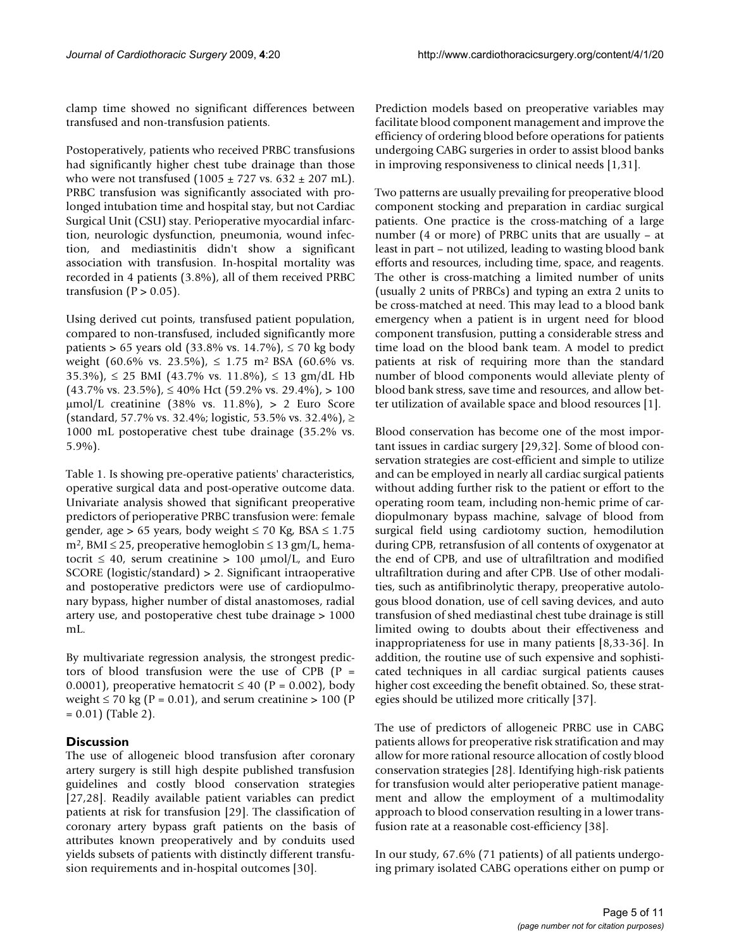clamp time showed no significant differences between transfused and non-transfusion patients.

Postoperatively, patients who received PRBC transfusions had significantly higher chest tube drainage than those who were not transfused  $(1005 \pm 727 \text{ vs. } 632 \pm 207 \text{ mL})$ . PRBC transfusion was significantly associated with prolonged intubation time and hospital stay, but not Cardiac Surgical Unit (CSU) stay. Perioperative myocardial infarction, neurologic dysfunction, pneumonia, wound infection, and mediastinitis didn't show a significant association with transfusion. In-hospital mortality was recorded in 4 patients (3.8%), all of them received PRBC transfusion ( $P > 0.05$ ).

Using derived cut points, transfused patient population, compared to non-transfused, included significantly more patients > 65 years old (33.8% vs. 14.7%), ≤ 70 kg body weight (60.6% vs. 23.5%),  $\leq$  1.75 m<sup>2</sup> BSA (60.6% vs. 35.3%),  $\leq$  25 BMI (43.7% vs. 11.8%),  $\leq$  13 gm/dL Hb  $(43.7\% \text{ vs. } 23.5\%), \leq 40\% \text{ Hct } (59.2\% \text{ vs. } 29.4\%), > 100$ μmol/L creatinine (38% vs. 11.8%), > 2 Euro Score (standard, 57.7% vs. 32.4%; logistic, 53.5% vs. 32.4%), ≥ 1000 mL postoperative chest tube drainage (35.2% vs. 5.9%).

Table 1. Is showing pre-operative patients' characteristics, operative surgical data and post-operative outcome data. Univariate analysis showed that significant preoperative predictors of perioperative PRBC transfusion were: female gender, age > 65 years, body weight  $\leq$  70 Kg, BSA  $\leq$  1.75 m<sup>2</sup>, BMI  $\leq$  25, preoperative hemoglobin  $\leq$  13 gm/L, hematocrit  $\leq 40$ , serum creatinine > 100 µmol/L, and Euro SCORE (logistic/standard) > 2. Significant intraoperative and postoperative predictors were use of cardiopulmonary bypass, higher number of distal anastomoses, radial artery use, and postoperative chest tube drainage > 1000 mL.

By multivariate regression analysis, the strongest predictors of blood transfusion were the use of CPB  $(P =$ 0.0001), preoperative hematocrit  $\leq 40$  (P = 0.002), body weight  $\leq$  70 kg (P = 0.01), and serum creatinine > 100 (P  $= 0.01$ ) (Table 2).

#### **Discussion**

The use of allogeneic blood transfusion after coronary artery surgery is still high despite published transfusion guidelines and costly blood conservation strategies [27,28]. Readily available patient variables can predict patients at risk for transfusion [29]. The classification of coronary artery bypass graft patients on the basis of attributes known preoperatively and by conduits used yields subsets of patients with distinctly different transfusion requirements and in-hospital outcomes [30].

Prediction models based on preoperative variables may facilitate blood component management and improve the efficiency of ordering blood before operations for patients undergoing CABG surgeries in order to assist blood banks in improving responsiveness to clinical needs [1,31].

Two patterns are usually prevailing for preoperative blood component stocking and preparation in cardiac surgical patients. One practice is the cross-matching of a large number (4 or more) of PRBC units that are usually – at least in part – not utilized, leading to wasting blood bank efforts and resources, including time, space, and reagents. The other is cross-matching a limited number of units (usually 2 units of PRBCs) and typing an extra 2 units to be cross-matched at need. This may lead to a blood bank emergency when a patient is in urgent need for blood component transfusion, putting a considerable stress and time load on the blood bank team. A model to predict patients at risk of requiring more than the standard number of blood components would alleviate plenty of blood bank stress, save time and resources, and allow better utilization of available space and blood resources [1].

Blood conservation has become one of the most important issues in cardiac surgery [29,32]. Some of blood conservation strategies are cost-efficient and simple to utilize and can be employed in nearly all cardiac surgical patients without adding further risk to the patient or effort to the operating room team, including non-hemic prime of cardiopulmonary bypass machine, salvage of blood from surgical field using cardiotomy suction, hemodilution during CPB, retransfusion of all contents of oxygenator at the end of CPB, and use of ultrafiltration and modified ultrafiltration during and after CPB. Use of other modalities, such as antifibrinolytic therapy, preoperative autologous blood donation, use of cell saving devices, and auto transfusion of shed mediastinal chest tube drainage is still limited owing to doubts about their effectiveness and inappropriateness for use in many patients [8,33-36]. In addition, the routine use of such expensive and sophisticated techniques in all cardiac surgical patients causes higher cost exceeding the benefit obtained. So, these strategies should be utilized more critically [37].

The use of predictors of allogeneic PRBC use in CABG patients allows for preoperative risk stratification and may allow for more rational resource allocation of costly blood conservation strategies [28]. Identifying high-risk patients for transfusion would alter perioperative patient management and allow the employment of a multimodality approach to blood conservation resulting in a lower transfusion rate at a reasonable cost-efficiency [38].

In our study, 67.6% (71 patients) of all patients undergoing primary isolated CABG operations either on pump or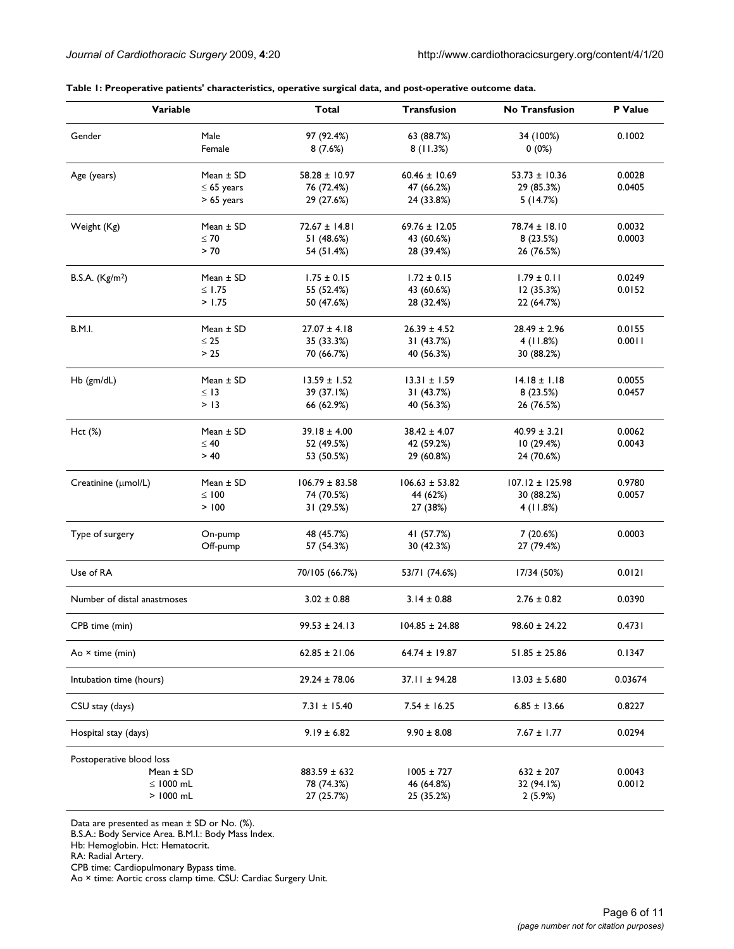| Variable                    |                 | <b>Total</b>          | <b>Transfusion</b>     | <b>No Transfusion</b> | P Value |
|-----------------------------|-----------------|-----------------------|------------------------|-----------------------|---------|
| Gender                      | Male<br>Female  | 97 (92.4%)<br>8(7.6%) | 63 (88.7%)<br>8(11.3%) | 34 (100%)<br>0(0%)    | 0.1002  |
| Age (years)                 | Mean $\pm$ SD   | $58.28 \pm 10.97$     | $60.46 \pm 10.69$      | $53.73 \pm 10.36$     | 0.0028  |
|                             | $\leq 65$ years | 76 (72.4%)            | 47 (66.2%)             | 29 (85.3%)            | 0.0405  |
|                             | $> 65$ years    | 29 (27.6%)            | 24 (33.8%)             | 5 (14.7%)             |         |
| Weight (Kg)                 | Mean $\pm$ SD   | 72.67 ± 14.81         | $69.76 \pm 12.05$      | $78.74 \pm 18.10$     | 0.0032  |
|                             | $\leq 70$       | 51 (48.6%)            | 43 (60.6%)             | 8 (23.5%)             | 0.0003  |
|                             | > 70            | 54 (51.4%)            | 28 (39.4%)             | 26 (76.5%)            |         |
| B.S.A. (Kg/m <sup>2</sup> ) | Mean $\pm$ SD   | $1.75 \pm 0.15$       | $1.72 \pm 0.15$        | $1.79 \pm 0.11$       | 0.0249  |
|                             | $\leq$ 1.75     | 55 (52.4%)            | 43 (60.6%)             | 12 (35.3%)            | 0.0152  |
|                             | > 1.75          | 50 (47.6%)            | 28 (32.4%)             | 22 (64.7%)            |         |
| <b>B.M.I.</b>               | Mean $\pm$ SD   | $27.07 \pm 4.18$      | $26.39 \pm 4.52$       | $28.49 \pm 2.96$      | 0.0155  |
|                             | $\leq 25$       | 35 (33.3%)            | 31 (43.7%)             | 4(11.8%)              | 0.0011  |
|                             | >25             | 70 (66.7%)            | 40 (56.3%)             | 30 (88.2%)            |         |
| Hb (gm/dL)                  | Mean $\pm$ SD   | $13.59 \pm 1.52$      | $13.31 \pm 1.59$       | $14.18 \pm 1.18$      | 0.0055  |
|                             | $\leq$ 13       | 39 (37.1%)            | 31 (43.7%)             | 8(23.5%)              | 0.0457  |
|                             | > 13            | 66 (62.9%)            | 40 (56.3%)             | 26 (76.5%)            |         |
| Hct (%)                     | Mean $\pm$ SD   | $39.18 \pm 4.00$      | $38.42 \pm 4.07$       | $40.99 \pm 3.21$      | 0.0062  |
|                             | $\leq 40$       | 52 (49.5%)            | 42 (59.2%)             | 10(29.4%)             | 0.0043  |
|                             | > 40            | 53 (50.5%)            | 29 (60.8%)             | 24 (70.6%)            |         |
| Creatinine (µmol/L)         | Mean $\pm$ SD   | $106.79 \pm 83.58$    | $106.63 \pm 53.82$     | $107.12 \pm 125.98$   | 0.9780  |
|                             | $\leq$ 100      | 74 (70.5%)            | 44 (62%)               | 30 (88.2%)            | 0.0057  |
|                             | > 100           | 31 (29.5%)            | 27 (38%)               | 4(11.8%)              |         |
| Type of surgery             | On-pump         | 48 (45.7%)            | 41 (57.7%)             | 7(20.6%)              | 0.0003  |
|                             | Off-pump        | 57 (54.3%)            | 30 (42.3%)             | 27 (79.4%)            |         |
| Use of RA                   |                 | 70/105 (66.7%)        | 53/71 (74.6%)          | 17/34 (50%)           | 0.0121  |
| Number of distal anastmoses |                 | $3.02 \pm 0.88$       | $3.14 \pm 0.88$        | $2.76 \pm 0.82$       | 0.0390  |
| CPB time (min)              |                 | $99.53 \pm 24.13$     | $104.85 \pm 24.88$     | $98.60 \pm 24.22$     | 0.4731  |
| Ao × time (min)             |                 | $62.85 \pm 21.06$     | $64.74 \pm 19.87$      | $51.85 \pm 25.86$     | 0.1347  |
| Intubation time (hours)     |                 | $29.24 \pm 78.06$     | 37.11 ± 94.28          | $13.03 \pm 5.680$     | 0.03674 |
| CSU stay (days)             |                 | $7.31 \pm 15.40$      | $7.54 \pm 16.25$       | $6.85 \pm 13.66$      | 0.8227  |
| Hospital stay (days)        |                 | $9.19 \pm 6.82$       | $9.90 \pm 8.08$        | $7.67 \pm 1.77$       | 0.0294  |
| Postoperative blood loss    |                 |                       |                        |                       |         |
| Mean ± SD                   |                 | $883.59 \pm 632$      | $1005 \pm 727$         | $632 \pm 207$         | 0.0043  |
| $\leq$ 1000 mL              |                 | 78 (74.3%)            | 46 (64.8%)             | 32 (94.1%)            | 0.0012  |
| $> 1000$ mL                 |                 | 27 (25.7%)            | 25 (35.2%)             | 2(5.9%)               |         |

Data are presented as mean ± SD or No. (%).

B.S.A.: Body Service Area. B.M.I.: Body Mass Index.

CPB time: Cardiopulmonary Bypass time.

Ao × time: Aortic cross clamp time. CSU: Cardiac Surgery Unit.

Hb: Hemoglobin. Hct: Hematocrit.

RA: Radial Artery.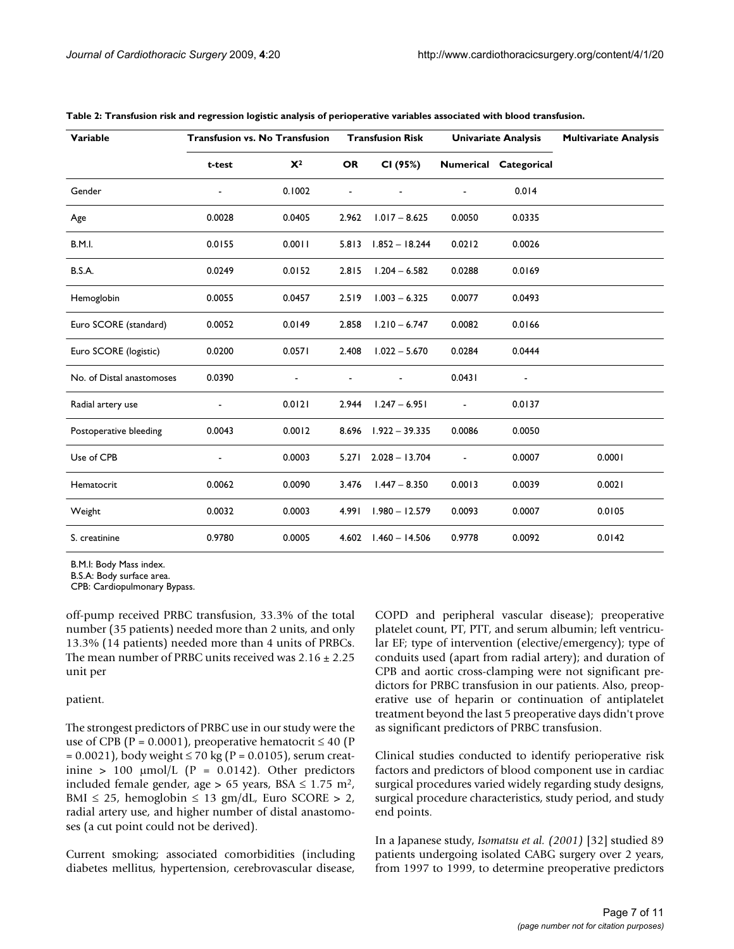| Variable                  | <b>Transfusion vs. No Transfusion</b> |        | <b>Transfusion Risk</b> |                  | <b>Univariate Analysis</b> |                       | <b>Multivariate Analysis</b> |
|---------------------------|---------------------------------------|--------|-------------------------|------------------|----------------------------|-----------------------|------------------------------|
|                           | t-test                                | $X^2$  | <b>OR</b>               | CI (95%)         |                            | Numerical Categorical |                              |
| Gender                    |                                       | 0.1002 | L.                      |                  |                            | 0.014                 |                              |
| Age                       | 0.0028                                | 0.0405 | 2.962                   | $1.017 - 8.625$  | 0.0050                     | 0.0335                |                              |
| <b>B.M.I.</b>             | 0.0155                                | 0.0011 | 5.813                   | $1.852 - 18.244$ | 0.0212                     | 0.0026                |                              |
| <b>B.S.A.</b>             | 0.0249                                | 0.0152 | 2.815                   | $1.204 - 6.582$  | 0.0288                     | 0.0169                |                              |
| Hemoglobin                | 0.0055                                | 0.0457 | 2.519                   | $1.003 - 6.325$  | 0.0077                     | 0.0493                |                              |
| Euro SCORE (standard)     | 0.0052                                | 0.0149 | 2.858                   | $1.210 - 6.747$  | 0.0082                     | 0.0166                |                              |
| Euro SCORE (logistic)     | 0.0200                                | 0.0571 | 2.408                   | $1.022 - 5.670$  | 0.0284                     | 0.0444                |                              |
| No. of Distal anastomoses | 0.0390                                |        |                         |                  | 0.0431                     |                       |                              |
| Radial artery use         |                                       | 0.0121 | 2.944                   | $1.247 - 6.951$  | $\blacksquare$             | 0.0137                |                              |
| Postoperative bleeding    | 0.0043                                | 0.0012 | 8.696                   | $1.922 - 39.335$ | 0.0086                     | 0.0050                |                              |
| Use of CPB                |                                       | 0.0003 | 5.271                   | $2.028 - 13.704$ |                            | 0.0007                | 0.0001                       |
| Hematocrit                | 0.0062                                | 0.0090 | 3.476                   | $1.447 - 8.350$  | 0.0013                     | 0.0039                | 0.0021                       |
| Weight                    | 0.0032                                | 0.0003 | 4.991                   | $1.980 - 12.579$ | 0.0093                     | 0.0007                | 0.0105                       |
| S. creatinine             | 0.9780                                | 0.0005 | 4.602                   | $1.460 - 14.506$ | 0.9778                     | 0.0092                | 0.0142                       |

|  |  |  |  | Table 2: Transfusion risk and regression logistic analysis of perioperative variables associated with blood transfusion. |
|--|--|--|--|--------------------------------------------------------------------------------------------------------------------------|
|--|--|--|--|--------------------------------------------------------------------------------------------------------------------------|

B.M.I: Body Mass index.

B.S.A: Body surface area.

CPB: Cardiopulmonary Bypass.

off-pump received PRBC transfusion, 33.3% of the total number (35 patients) needed more than 2 units, and only 13.3% (14 patients) needed more than 4 units of PRBCs. The mean number of PRBC units received was  $2.16 \pm 2.25$ unit per

#### patient.

The strongest predictors of PRBC use in our study were the use of CPB (P = 0.0001), preoperative hematocrit  $\leq 40$  (P  $= 0.0021$ ), body weight  $\le 70$  kg (P = 0.0105), serum creatinine > 100  $\mu$ mol/L (P = 0.0142). Other predictors included female gender, age > 65 years, BSA  $\leq 1.75$  m<sup>2</sup>, BMI  $\leq$  25, hemoglobin  $\leq$  13 gm/dL, Euro SCORE > 2, radial artery use, and higher number of distal anastomoses (a cut point could not be derived).

Current smoking; associated comorbidities (including diabetes mellitus, hypertension, cerebrovascular disease,

COPD and peripheral vascular disease); preoperative platelet count, PT, PTT, and serum albumin; left ventricular EF; type of intervention (elective/emergency); type of conduits used (apart from radial artery); and duration of CPB and aortic cross-clamping were not significant predictors for PRBC transfusion in our patients. Also, preoperative use of heparin or continuation of antiplatelet treatment beyond the last 5 preoperative days didn't prove as significant predictors of PRBC transfusion.

Clinical studies conducted to identify perioperative risk factors and predictors of blood component use in cardiac surgical procedures varied widely regarding study designs, surgical procedure characteristics, study period, and study end points.

In a Japanese study, *Isomatsu et al. (2001)* [32] studied 89 patients undergoing isolated CABG surgery over 2 years, from 1997 to 1999, to determine preoperative predictors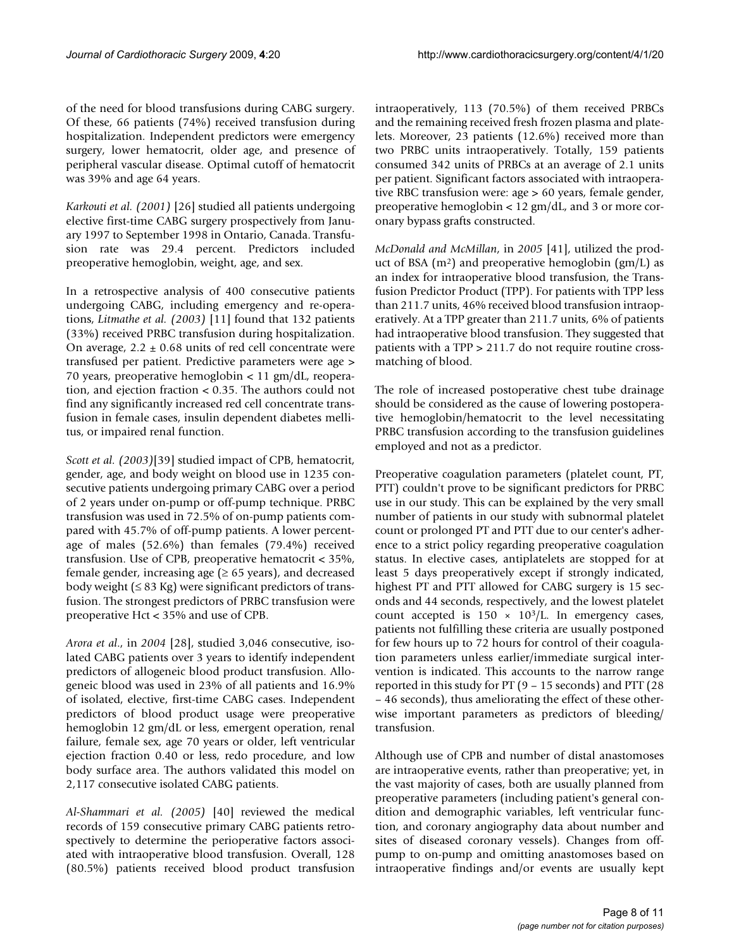of the need for blood transfusions during CABG surgery. Of these, 66 patients (74%) received transfusion during hospitalization. Independent predictors were emergency surgery, lower hematocrit, older age, and presence of peripheral vascular disease. Optimal cutoff of hematocrit was 39% and age 64 years.

*Karkouti et al. (2001)* [26] studied all patients undergoing elective first-time CABG surgery prospectively from January 1997 to September 1998 in Ontario, Canada. Transfusion rate was 29.4 percent. Predictors included preoperative hemoglobin, weight, age, and sex.

In a retrospective analysis of 400 consecutive patients undergoing CABG, including emergency and re-operations, *Litmathe et al. (2003)* [11] found that 132 patients (33%) received PRBC transfusion during hospitalization. On average,  $2.2 \pm 0.68$  units of red cell concentrate were transfused per patient. Predictive parameters were age > 70 years, preoperative hemoglobin < 11 gm/dL, reoperation, and ejection fraction < 0.35. The authors could not find any significantly increased red cell concentrate transfusion in female cases, insulin dependent diabetes mellitus, or impaired renal function.

*Scott et al. (2003)*[39] studied impact of CPB, hematocrit, gender, age, and body weight on blood use in 1235 consecutive patients undergoing primary CABG over a period of 2 years under on-pump or off-pump technique. PRBC transfusion was used in 72.5% of on-pump patients compared with 45.7% of off-pump patients. A lower percentage of males (52.6%) than females (79.4%) received transfusion. Use of CPB, preoperative hematocrit < 35%, female gender, increasing age  $(≥ 65$  years), and decreased body weight ( $\leq$  83 Kg) were significant predictors of transfusion. The strongest predictors of PRBC transfusion were preoperative Hct < 35% and use of CPB.

*Arora et al*., in *2004* [28], studied 3,046 consecutive, isolated CABG patients over 3 years to identify independent predictors of allogeneic blood product transfusion. Allogeneic blood was used in 23% of all patients and 16.9% of isolated, elective, first-time CABG cases. Independent predictors of blood product usage were preoperative hemoglobin 12 gm/dL or less, emergent operation, renal failure, female sex, age 70 years or older, left ventricular ejection fraction 0.40 or less, redo procedure, and low body surface area. The authors validated this model on 2,117 consecutive isolated CABG patients.

*Al-Shammari et al. (2005)* [40] reviewed the medical records of 159 consecutive primary CABG patients retrospectively to determine the perioperative factors associated with intraoperative blood transfusion. Overall, 128 (80.5%) patients received blood product transfusion

intraoperatively, 113 (70.5%) of them received PRBCs and the remaining received fresh frozen plasma and platelets. Moreover, 23 patients (12.6%) received more than two PRBC units intraoperatively. Totally, 159 patients consumed 342 units of PRBCs at an average of 2.1 units per patient. Significant factors associated with intraoperative RBC transfusion were: age > 60 years, female gender, preoperative hemoglobin < 12 gm/dL, and 3 or more coronary bypass grafts constructed.

*McDonald and McMillan*, in *2005* [41], utilized the product of BSA  $(m^2)$  and preoperative hemoglobin  $(gm/L)$  as an index for intraoperative blood transfusion, the Transfusion Predictor Product (TPP). For patients with TPP less than 211.7 units, 46% received blood transfusion intraoperatively. At a TPP greater than 211.7 units, 6% of patients had intraoperative blood transfusion. They suggested that patients with a TPP > 211.7 do not require routine crossmatching of blood.

The role of increased postoperative chest tube drainage should be considered as the cause of lowering postoperative hemoglobin/hematocrit to the level necessitating PRBC transfusion according to the transfusion guidelines employed and not as a predictor.

Preoperative coagulation parameters (platelet count, PT, PTT) couldn't prove to be significant predictors for PRBC use in our study. This can be explained by the very small number of patients in our study with subnormal platelet count or prolonged PT and PTT due to our center's adherence to a strict policy regarding preoperative coagulation status. In elective cases, antiplatelets are stopped for at least 5 days preoperatively except if strongly indicated, highest PT and PTT allowed for CABG surgery is 15 seconds and 44 seconds, respectively, and the lowest platelet count accepted is  $150 \times 10^3$ /L. In emergency cases, patients not fulfilling these criteria are usually postponed for few hours up to 72 hours for control of their coagulation parameters unless earlier/immediate surgical intervention is indicated. This accounts to the narrow range reported in this study for PT (9 – 15 seconds) and PTT (28 – 46 seconds), thus ameliorating the effect of these otherwise important parameters as predictors of bleeding/ transfusion.

Although use of CPB and number of distal anastomoses are intraoperative events, rather than preoperative; yet, in the vast majority of cases, both are usually planned from preoperative parameters (including patient's general condition and demographic variables, left ventricular function, and coronary angiography data about number and sites of diseased coronary vessels). Changes from offpump to on-pump and omitting anastomoses based on intraoperative findings and/or events are usually kept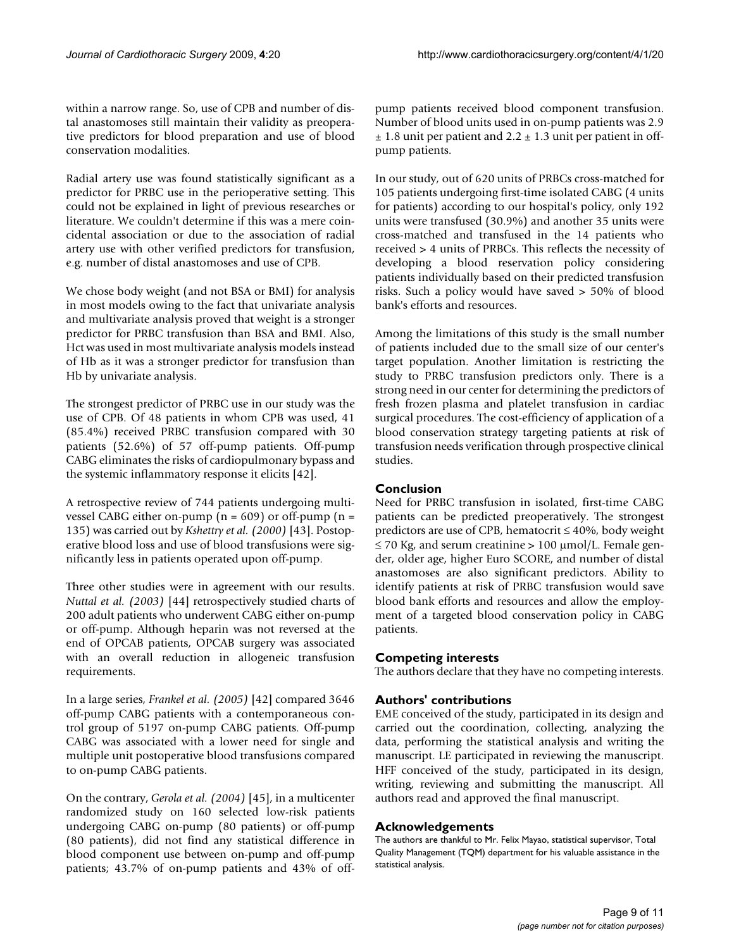within a narrow range. So, use of CPB and number of distal anastomoses still maintain their validity as preoperative predictors for blood preparation and use of blood conservation modalities.

Radial artery use was found statistically significant as a predictor for PRBC use in the perioperative setting. This could not be explained in light of previous researches or literature. We couldn't determine if this was a mere coincidental association or due to the association of radial artery use with other verified predictors for transfusion, e.g. number of distal anastomoses and use of CPB.

We chose body weight (and not BSA or BMI) for analysis in most models owing to the fact that univariate analysis and multivariate analysis proved that weight is a stronger predictor for PRBC transfusion than BSA and BMI. Also, Hct was used in most multivariate analysis models instead of Hb as it was a stronger predictor for transfusion than Hb by univariate analysis.

The strongest predictor of PRBC use in our study was the use of CPB. Of 48 patients in whom CPB was used, 41 (85.4%) received PRBC transfusion compared with 30 patients (52.6%) of 57 off-pump patients. Off-pump CABG eliminates the risks of cardiopulmonary bypass and the systemic inflammatory response it elicits [42].

A retrospective review of 744 patients undergoing multivessel CABG either on-pump ( $n = 609$ ) or off-pump ( $n =$ 135) was carried out by *Kshettry et al. (2000)* [43]. Postoperative blood loss and use of blood transfusions were significantly less in patients operated upon off-pump.

Three other studies were in agreement with our results. *Nuttal et al. (2003)* [44] retrospectively studied charts of 200 adult patients who underwent CABG either on-pump or off-pump. Although heparin was not reversed at the end of OPCAB patients, OPCAB surgery was associated with an overall reduction in allogeneic transfusion requirements.

In a large series, *Frankel et al. (2005)* [42] compared 3646 off-pump CABG patients with a contemporaneous control group of 5197 on-pump CABG patients. Off-pump CABG was associated with a lower need for single and multiple unit postoperative blood transfusions compared to on-pump CABG patients.

On the contrary, *Gerola et al. (2004)* [45], in a multicenter randomized study on 160 selected low-risk patients undergoing CABG on-pump (80 patients) or off-pump (80 patients), did not find any statistical difference in blood component use between on-pump and off-pump patients; 43.7% of on-pump patients and 43% of offpump patients received blood component transfusion. Number of blood units used in on-pump patients was 2.9  $\pm$  1.8 unit per patient and 2.2  $\pm$  1.3 unit per patient in offpump patients.

In our study, out of 620 units of PRBCs cross-matched for 105 patients undergoing first-time isolated CABG (4 units for patients) according to our hospital's policy, only 192 units were transfused (30.9%) and another 35 units were cross-matched and transfused in the 14 patients who received > 4 units of PRBCs. This reflects the necessity of developing a blood reservation policy considering patients individually based on their predicted transfusion risks. Such a policy would have saved > 50% of blood bank's efforts and resources.

Among the limitations of this study is the small number of patients included due to the small size of our center's target population. Another limitation is restricting the study to PRBC transfusion predictors only. There is a strong need in our center for determining the predictors of fresh frozen plasma and platelet transfusion in cardiac surgical procedures. The cost-efficiency of application of a blood conservation strategy targeting patients at risk of transfusion needs verification through prospective clinical studies.

#### **Conclusion**

Need for PRBC transfusion in isolated, first-time CABG patients can be predicted preoperatively. The strongest predictors are use of CPB, hematocrit  $\leq 40\%$ , body weight  $\leq$  70 Kg, and serum creatinine > 100  $\mu$ mol/L. Female gender, older age, higher Euro SCORE, and number of distal anastomoses are also significant predictors. Ability to identify patients at risk of PRBC transfusion would save blood bank efforts and resources and allow the employment of a targeted blood conservation policy in CABG patients.

## **Competing interests**

The authors declare that they have no competing interests.

## **Authors' contributions**

EME conceived of the study, participated in its design and carried out the coordination, collecting, analyzing the data, performing the statistical analysis and writing the manuscript. LE participated in reviewing the manuscript. HFF conceived of the study, participated in its design, writing, reviewing and submitting the manuscript. All authors read and approved the final manuscript.

## **Acknowledgements**

The authors are thankful to Mr. Felix Mayao, statistical supervisor, Total Quality Management (TQM) department for his valuable assistance in the statistical analysis.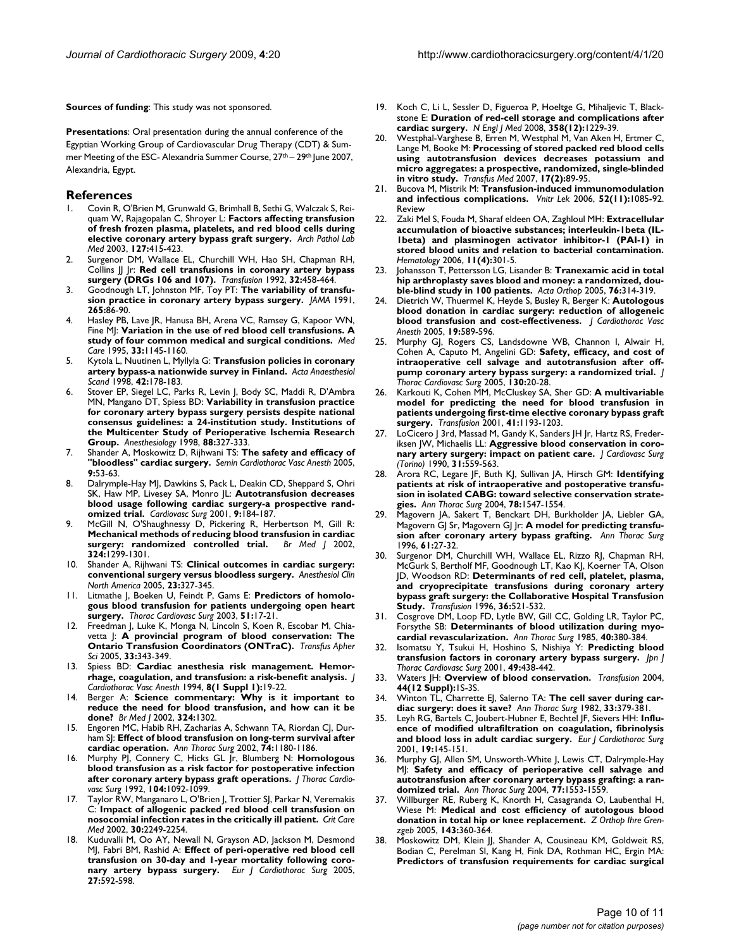**Sources of funding**: This study was not sponsored.

**Presentations**: Oral presentation during the annual conference of the Egyptian Working Group of Cardiovascular Drug Therapy (CDT) & Summer Meeting of the ESC- Alexandria Summer Course, 27<sup>th</sup> – 29<sup>th</sup> June 2007, Alexandria, Egypt.

#### **References**

- 1. Covin R, O'Brien M, Grunwald G, Brimhall B, Sethi G, Walczak S, Reiquam W, Rajagopalan C, Shroyer L: **[Factors affecting transfusion](http://www.ncbi.nlm.nih.gov/entrez/query.fcgi?cmd=Retrieve&db=PubMed&dopt=Abstract&list_uids=12683868) [of fresh frozen plasma, platelets, and red blood cells during](http://www.ncbi.nlm.nih.gov/entrez/query.fcgi?cmd=Retrieve&db=PubMed&dopt=Abstract&list_uids=12683868) [elective coronary artery bypass graft surgery.](http://www.ncbi.nlm.nih.gov/entrez/query.fcgi?cmd=Retrieve&db=PubMed&dopt=Abstract&list_uids=12683868)** *Arch Pathol Lab Med* 2003, **127:**415-423.
- 2. Surgenor DM, Wallace EL, Churchill WH, Hao SH, Chapman RH, Collins JJ Jr: **[Red cell transfusions in coronary artery bypass](http://www.ncbi.nlm.nih.gov/entrez/query.fcgi?cmd=Retrieve&db=PubMed&dopt=Abstract&list_uids=1626350) [surgery \(DRGs 106 and 107\).](http://www.ncbi.nlm.nih.gov/entrez/query.fcgi?cmd=Retrieve&db=PubMed&dopt=Abstract&list_uids=1626350)** *Transfusion* 1992, **32:**458-464.
- 3. Goodnough LT, Johnston MF, Toy PT: **[The variability of transfu](http://www.ncbi.nlm.nih.gov/entrez/query.fcgi?cmd=Retrieve&db=PubMed&dopt=Abstract&list_uids=1984129)[sion practice in coronary artery bypass surgery.](http://www.ncbi.nlm.nih.gov/entrez/query.fcgi?cmd=Retrieve&db=PubMed&dopt=Abstract&list_uids=1984129)** *JAMA* 1991, **265:**86-90.
- 4. Hasley PB, Lave JR, Hanusa BH, Arena VC, Ramsey G, Kapoor WN, Fine MJ: **[Variation in the use of red blood cell transfusions. A](http://www.ncbi.nlm.nih.gov/entrez/query.fcgi?cmd=Retrieve&db=PubMed&dopt=Abstract&list_uids=7475423) [study of four common medical and surgical conditions.](http://www.ncbi.nlm.nih.gov/entrez/query.fcgi?cmd=Retrieve&db=PubMed&dopt=Abstract&list_uids=7475423)** *Med Care* 1995, **33:**1145-1160.
- 5. Kytola L, Nuutinen L, Myllyla G: **[Transfusion policies in coronary](http://www.ncbi.nlm.nih.gov/entrez/query.fcgi?cmd=Retrieve&db=PubMed&dopt=Abstract&list_uids=9509199) [artery bypass-a nationwide survey in Finland.](http://www.ncbi.nlm.nih.gov/entrez/query.fcgi?cmd=Retrieve&db=PubMed&dopt=Abstract&list_uids=9509199)** *Acta Anaesthesiol Scand* 1998, **42:**178-183.
- 6. Stover EP, Siegel LC, Parks R, Levin J, Body SC, Maddi R, D'Ambra MN, Mangano DT, Spiess BD: **[Variability in transfusion practice](http://www.ncbi.nlm.nih.gov/entrez/query.fcgi?cmd=Retrieve&db=PubMed&dopt=Abstract&list_uids=9477051) [for coronary artery bypass surgery persists despite national](http://www.ncbi.nlm.nih.gov/entrez/query.fcgi?cmd=Retrieve&db=PubMed&dopt=Abstract&list_uids=9477051) consensus guidelines: a 24-institution study. Institutions of the Multicenter Study of Perioperative Ischemia Research [Group.](http://www.ncbi.nlm.nih.gov/entrez/query.fcgi?cmd=Retrieve&db=PubMed&dopt=Abstract&list_uids=9477051)** *Anesthesiology* 1998, **88:**327-333.
- 7. Shander A, Moskowitz D, Rijhwani TS: **[The safety and efficacy of](http://www.ncbi.nlm.nih.gov/entrez/query.fcgi?cmd=Retrieve&db=PubMed&dopt=Abstract&list_uids=15735844) ["bloodless" cardiac surgery.](http://www.ncbi.nlm.nih.gov/entrez/query.fcgi?cmd=Retrieve&db=PubMed&dopt=Abstract&list_uids=15735844)** *Semin Cardiothorac Vasc Anesth* 2005, **9:**53-63.
- 8. Dalrymple-Hay MJ, Dawkins S, Pack L, Deakin CD, Sheppard S, Ohri SK, Haw MP, Livesey SA, Monro JL: **[Autotransfusion decreases](http://www.ncbi.nlm.nih.gov/entrez/query.fcgi?cmd=Retrieve&db=PubMed&dopt=Abstract&list_uids=11250189) [blood usage following cardiac surgery-a prospective rand](http://www.ncbi.nlm.nih.gov/entrez/query.fcgi?cmd=Retrieve&db=PubMed&dopt=Abstract&list_uids=11250189)[omized trial.](http://www.ncbi.nlm.nih.gov/entrez/query.fcgi?cmd=Retrieve&db=PubMed&dopt=Abstract&list_uids=11250189)** *Cardiovasc Surg* 2001, **9:**184-187.
- 9. McGill N, O'Shaughnessy D, Pickering R, Herbertson M, Gill R: **Mechanical methods of reducing blood transfusion in cardiac** surgery: randomized controlled trial. **324:**1299-1301.
- 10. Shander A, Rijhwani TS: **[Clinical outcomes in cardiac surgery:](http://www.ncbi.nlm.nih.gov/entrez/query.fcgi?cmd=Retrieve&db=PubMed&dopt=Abstract&list_uids=15922904) [conventional surgery versus bloodless surgery.](http://www.ncbi.nlm.nih.gov/entrez/query.fcgi?cmd=Retrieve&db=PubMed&dopt=Abstract&list_uids=15922904)** *Anesthesiol Clin North America* 2005, **23:**327-345.
- 11. Litmathe J, Boeken U, Feindt P, Gams E: **[Predictors of homolo](http://www.ncbi.nlm.nih.gov/entrez/query.fcgi?cmd=Retrieve&db=PubMed&dopt=Abstract&list_uids=12587083)[gous blood transfusion for patients undergoing open heart](http://www.ncbi.nlm.nih.gov/entrez/query.fcgi?cmd=Retrieve&db=PubMed&dopt=Abstract&list_uids=12587083) [surgery.](http://www.ncbi.nlm.nih.gov/entrez/query.fcgi?cmd=Retrieve&db=PubMed&dopt=Abstract&list_uids=12587083)** *Thorac Cardiovasc Surg* 2003, **51:**17-21.
- 12. Freedman J, Luke K, Monga N, Lincoln S, Koen R, Escobar M, Chiavetta J: **[A provincial program of blood conservation: The](http://www.ncbi.nlm.nih.gov/entrez/query.fcgi?cmd=Retrieve&db=PubMed&dopt=Abstract&list_uids=16209933) [Ontario Transfusion Coordinators \(ONTraC\).](http://www.ncbi.nlm.nih.gov/entrez/query.fcgi?cmd=Retrieve&db=PubMed&dopt=Abstract&list_uids=16209933)** *Transfus Apher Sci* 2005, **33:**343-349.
- 13. Spiess BD: **[Cardiac anesthesia risk management. Hemor](http://www.ncbi.nlm.nih.gov/entrez/query.fcgi?cmd=Retrieve&db=PubMed&dopt=Abstract&list_uids=8167299)[rhage, coagulation, and transfusion: a risk-benefit analysis.](http://www.ncbi.nlm.nih.gov/entrez/query.fcgi?cmd=Retrieve&db=PubMed&dopt=Abstract&list_uids=8167299)** *J Cardiothorac Vasc Anesth* 1994, **8(1 Suppl 1):**19-22.
- 14. Berger A: **Science commentary: Why is it important to reduce the need for blood transfusion, and how can it be done?** *Br Med J* 2002, **324:**1302.
- 15. Engoren MC, Habib RH, Zacharias A, Schwann TA, Riordan CJ, Durham SJ: **[Effect of blood transfusion on long-term survival after](http://www.ncbi.nlm.nih.gov/entrez/query.fcgi?cmd=Retrieve&db=PubMed&dopt=Abstract&list_uids=12400765) [cardiac operation.](http://www.ncbi.nlm.nih.gov/entrez/query.fcgi?cmd=Retrieve&db=PubMed&dopt=Abstract&list_uids=12400765)** *Ann Thorac Surg* 2002, **74:**1180-1186.
- 16. Murphy PJ, Connery C, Hicks GL Jr, Blumberg N: **[Homologous](http://www.ncbi.nlm.nih.gov/entrez/query.fcgi?cmd=Retrieve&db=PubMed&dopt=Abstract&list_uids=1405668) [blood transfusion as a risk factor for postoperative infection](http://www.ncbi.nlm.nih.gov/entrez/query.fcgi?cmd=Retrieve&db=PubMed&dopt=Abstract&list_uids=1405668) [after coronary artery bypass graft operations.](http://www.ncbi.nlm.nih.gov/entrez/query.fcgi?cmd=Retrieve&db=PubMed&dopt=Abstract&list_uids=1405668)** *J Thorac Cardiovasc Surg* 1992, **104:**1092-1099.
- 17. Taylor RW, Manganaro L, O'Brien J, Trottier SJ, Parkar N, Veremakis C: **[Impact of allogenic packed red blood cell transfusion on](http://www.ncbi.nlm.nih.gov/entrez/query.fcgi?cmd=Retrieve&db=PubMed&dopt=Abstract&list_uids=12394952) [nosocomial infection rates in the critically ill patient.](http://www.ncbi.nlm.nih.gov/entrez/query.fcgi?cmd=Retrieve&db=PubMed&dopt=Abstract&list_uids=12394952)** *Crit Care Med* 2002, **30:**2249-2254.
- 18. Kuduvalli M, Oo AY, Newall N, Grayson AD, Jackson M, Desmond MJ, Fabri BM, Rashid A: **[Effect of peri-operative red blood cell](http://www.ncbi.nlm.nih.gov/entrez/query.fcgi?cmd=Retrieve&db=PubMed&dopt=Abstract&list_uids=15784356) [transfusion on 30-day and 1-year mortality following coro](http://www.ncbi.nlm.nih.gov/entrez/query.fcgi?cmd=Retrieve&db=PubMed&dopt=Abstract&list_uids=15784356)[nary artery bypass surgery.](http://www.ncbi.nlm.nih.gov/entrez/query.fcgi?cmd=Retrieve&db=PubMed&dopt=Abstract&list_uids=15784356)** *Eur J Cardiothorac Surg* 2005, **27:**592-598.
- 19. Koch C, Li L, Sessler D, Figueroa P, Hoeltge G, Mihaljevic T, Blackstone E: **[Duration of red-cell storage and complications after](http://www.ncbi.nlm.nih.gov/entrez/query.fcgi?cmd=Retrieve&db=PubMed&dopt=Abstract&list_uids=18354101) [cardiac surgery.](http://www.ncbi.nlm.nih.gov/entrez/query.fcgi?cmd=Retrieve&db=PubMed&dopt=Abstract&list_uids=18354101)** *N Engl J Med* 2008, **358(12):**1229-39.
- 20. Westphal-Varghese B, Erren M, Westphal M, Van Aken H, Ertmer C, Lange M, Booke M: **[Processing of stored packed red blood cells](http://www.ncbi.nlm.nih.gov/entrez/query.fcgi?cmd=Retrieve&db=PubMed&dopt=Abstract&list_uids=17430464) [using autotransfusion devices decreases potassium and](http://www.ncbi.nlm.nih.gov/entrez/query.fcgi?cmd=Retrieve&db=PubMed&dopt=Abstract&list_uids=17430464) micro aggregates: a prospective, randomized, single-blinded [in vitro study.](http://www.ncbi.nlm.nih.gov/entrez/query.fcgi?cmd=Retrieve&db=PubMed&dopt=Abstract&list_uids=17430464)** *Transfus Med* 2007, **17(2):**89-95.
- 21. Bucova M, Mistrik M: **[Transfusion-induced immunomodulation](http://www.ncbi.nlm.nih.gov/entrez/query.fcgi?cmd=Retrieve&db=PubMed&dopt=Abstract&list_uids=17165529) [and infectious complications.](http://www.ncbi.nlm.nih.gov/entrez/query.fcgi?cmd=Retrieve&db=PubMed&dopt=Abstract&list_uids=17165529)** *Vnitr Lek* 2006, **52(11):**1085-92. Review
- 22. Zaki Mel S, Fouda M, Sharaf eldeen OA, Zaghloul MH: **[Extracellular](http://www.ncbi.nlm.nih.gov/entrez/query.fcgi?cmd=Retrieve&db=PubMed&dopt=Abstract&list_uids=17178672) accumulation of bioactive substances; interleukin-1beta (IL-[1beta\) and plasminogen activator inhibitor-1 \(PAI-1\) in](http://www.ncbi.nlm.nih.gov/entrez/query.fcgi?cmd=Retrieve&db=PubMed&dopt=Abstract&list_uids=17178672) stored blood units and relation to bacterial contamination.** *Hematology* 2006, **11(4):**301-5.
- 23. Johansson T, Pettersson LG, Lisander B: **[Tranexamic acid in total](http://www.ncbi.nlm.nih.gov/entrez/query.fcgi?cmd=Retrieve&db=PubMed&dopt=Abstract&list_uids=16156456) [hip arthroplasty saves blood and money: a randomized, dou](http://www.ncbi.nlm.nih.gov/entrez/query.fcgi?cmd=Retrieve&db=PubMed&dopt=Abstract&list_uids=16156456)[ble-blind study in 100 patients.](http://www.ncbi.nlm.nih.gov/entrez/query.fcgi?cmd=Retrieve&db=PubMed&dopt=Abstract&list_uids=16156456)** *Acta Orthop* 2005, **76:**314-319.
- 24. Dietrich W, Thuermel K, Heyde S, Busley R, Berger K: **[Autologous](http://www.ncbi.nlm.nih.gov/entrez/query.fcgi?cmd=Retrieve&db=PubMed&dopt=Abstract&list_uids=16202891) [blood donation in cardiac surgery: reduction of allogeneic](http://www.ncbi.nlm.nih.gov/entrez/query.fcgi?cmd=Retrieve&db=PubMed&dopt=Abstract&list_uids=16202891) [blood transfusion and cost-effectiveness.](http://www.ncbi.nlm.nih.gov/entrez/query.fcgi?cmd=Retrieve&db=PubMed&dopt=Abstract&list_uids=16202891)** *J Cardiothorac Vasc Anesth* 2005, **19:**589-596.
- 25. Murphy GJ, Rogers CS, Landsdowne WB, Channon I, Alwair H, Cohen A, Caputo M, Angelini GD: **[Safety, efficacy, and cost of](http://www.ncbi.nlm.nih.gov/entrez/query.fcgi?cmd=Retrieve&db=PubMed&dopt=Abstract&list_uids=15999036) [intraoperative cell salvage and autotransfusion after off](http://www.ncbi.nlm.nih.gov/entrez/query.fcgi?cmd=Retrieve&db=PubMed&dopt=Abstract&list_uids=15999036)[pump coronary artery bypass surgery: a randomized trial.](http://www.ncbi.nlm.nih.gov/entrez/query.fcgi?cmd=Retrieve&db=PubMed&dopt=Abstract&list_uids=15999036)** *J Thorac Cardiovasc Surg* 2005, **130:**20-28.
- 26. Karkouti K, Cohen MM, McCluskey SA, Sher GD: **[A multivariable](http://www.ncbi.nlm.nih.gov/entrez/query.fcgi?cmd=Retrieve&db=PubMed&dopt=Abstract&list_uids=11606816) [model for predicting the need for blood transfusion in](http://www.ncbi.nlm.nih.gov/entrez/query.fcgi?cmd=Retrieve&db=PubMed&dopt=Abstract&list_uids=11606816) patients undergoing first-time elective coronary bypass graft [surgery.](http://www.ncbi.nlm.nih.gov/entrez/query.fcgi?cmd=Retrieve&db=PubMed&dopt=Abstract&list_uids=11606816)** *Transfusion* 2001, **41:**1193-1203.
- 27. LoCicero | 3rd, Massad M, Gandy K, Sanders | H | r, Hartz RS, Frederiksen JW, Michaelis LL: **[Aggressive blood conservation in coro](http://www.ncbi.nlm.nih.gov/entrez/query.fcgi?cmd=Retrieve&db=PubMed&dopt=Abstract&list_uids=2229148)[nary artery surgery: impact on patient care.](http://www.ncbi.nlm.nih.gov/entrez/query.fcgi?cmd=Retrieve&db=PubMed&dopt=Abstract&list_uids=2229148)** *J Cardiovasc Surg (Torino)* 1990, **31:**559-563.
- 28. Arora RC, Legare JF, Buth KJ, Sullivan JA, Hirsch GM: **[Identifying](http://www.ncbi.nlm.nih.gov/entrez/query.fcgi?cmd=Retrieve&db=PubMed&dopt=Abstract&list_uids=15511428) [patients at risk of intraoperative and postoperative transfu](http://www.ncbi.nlm.nih.gov/entrez/query.fcgi?cmd=Retrieve&db=PubMed&dopt=Abstract&list_uids=15511428)sion in isolated CABG: toward selective conservation strate[gies.](http://www.ncbi.nlm.nih.gov/entrez/query.fcgi?cmd=Retrieve&db=PubMed&dopt=Abstract&list_uids=15511428)** *Ann Thorac Surg* 2004, **78:**1547-1554.
- 29. Magovern JA, Sakert T, Benckart DH, Burkholder JA, Liebler GA, Magovern GJ Sr, Magovern GJ Jr: **[A model for predicting transfu](http://www.ncbi.nlm.nih.gov/entrez/query.fcgi?cmd=Retrieve&db=PubMed&dopt=Abstract&list_uids=8561579)[sion after coronary artery bypass grafting.](http://www.ncbi.nlm.nih.gov/entrez/query.fcgi?cmd=Retrieve&db=PubMed&dopt=Abstract&list_uids=8561579)** *Ann Thorac Surg* 1996, **61:**27-32.
- 30. Surgenor DM, Churchill WH, Wallace EL, Rizzo RJ, Chapman RH, McGurk S, Bertholf MF, Goodnough LT, Kao KJ, Koerner TA, Olson JD, Woodson RD: **[Determinants of red cell, platelet, plasma,](http://www.ncbi.nlm.nih.gov/entrez/query.fcgi?cmd=Retrieve&db=PubMed&dopt=Abstract&list_uids=8669084) [and cryoprecipitate transfusions during coronary artery](http://www.ncbi.nlm.nih.gov/entrez/query.fcgi?cmd=Retrieve&db=PubMed&dopt=Abstract&list_uids=8669084) bypass graft surgery: the Collaborative Hospital Transfusion [Study.](http://www.ncbi.nlm.nih.gov/entrez/query.fcgi?cmd=Retrieve&db=PubMed&dopt=Abstract&list_uids=8669084)** *Transfusion* 1996, **36:**521-532.
- 31. Cosgrove DM, Loop FD, Lytle BW, Gill CC, Golding LR, Taylor PC, Forsythe SB: **[Determinants of blood utilization during myo](http://www.ncbi.nlm.nih.gov/entrez/query.fcgi?cmd=Retrieve&db=PubMed&dopt=Abstract&list_uids=4051620)[cardial revascularization.](http://www.ncbi.nlm.nih.gov/entrez/query.fcgi?cmd=Retrieve&db=PubMed&dopt=Abstract&list_uids=4051620)** *Ann Thorac Surg* 1985, **40:**380-384.
- 32. Isomatsu Y, Tsukui H, Hoshino S, Nishiya Y: **[Predicting blood](http://www.ncbi.nlm.nih.gov/entrez/query.fcgi?cmd=Retrieve&db=PubMed&dopt=Abstract&list_uids=11517579) [transfusion factors in coronary artery bypass surgery.](http://www.ncbi.nlm.nih.gov/entrez/query.fcgi?cmd=Retrieve&db=PubMed&dopt=Abstract&list_uids=11517579)** *Jpn J Thorac Cardiovasc Surg* 2001, **49:**438-442.
- 33. Waters JH: **[Overview of blood conservation.](http://www.ncbi.nlm.nih.gov/entrez/query.fcgi?cmd=Retrieve&db=PubMed&dopt=Abstract&list_uids=15584999)** *Transfusion* 2004, **44(12 Suppl):**1S-3S.
- 34. Winton TL, Charrette EJ, Salerno TA: **[The cell saver during car](http://www.ncbi.nlm.nih.gov/entrez/query.fcgi?cmd=Retrieve&db=PubMed&dopt=Abstract&list_uids=6803690)[diac surgery: does it save?](http://www.ncbi.nlm.nih.gov/entrez/query.fcgi?cmd=Retrieve&db=PubMed&dopt=Abstract&list_uids=6803690)** *Ann Thorac Surg* 1982, **33:**379-381.
- 35. Leyh RG, Bartels C, Joubert-Hubner E, Bechtel JF, Sievers HH: **[Influ](http://www.ncbi.nlm.nih.gov/entrez/query.fcgi?cmd=Retrieve&db=PubMed&dopt=Abstract&list_uids=11167103)[ence of modified ultrafiltration on coagulation, fibrinolysis](http://www.ncbi.nlm.nih.gov/entrez/query.fcgi?cmd=Retrieve&db=PubMed&dopt=Abstract&list_uids=11167103) [and blood loss in adult cardiac surgery.](http://www.ncbi.nlm.nih.gov/entrez/query.fcgi?cmd=Retrieve&db=PubMed&dopt=Abstract&list_uids=11167103)** *Eur J Cardiothorac Surg* 2001, **19:**145-151.
- 36. Murphy GJ, Allen SM, Unsworth-White J, Lewis CT, Dalrymple-Hay MJ: **[Safety and efficacy of perioperative cell salvage and](http://www.ncbi.nlm.nih.gov/entrez/query.fcgi?cmd=Retrieve&db=PubMed&dopt=Abstract&list_uids=15111142) [autotransfusion after coronary artery bypass grafting: a ran](http://www.ncbi.nlm.nih.gov/entrez/query.fcgi?cmd=Retrieve&db=PubMed&dopt=Abstract&list_uids=15111142)[domized trial.](http://www.ncbi.nlm.nih.gov/entrez/query.fcgi?cmd=Retrieve&db=PubMed&dopt=Abstract&list_uids=15111142)** *Ann Thorac Surg* 2004, **77:**1553-1559.
- 37. Willburger RE, Ruberg K, Knorth H, Casagranda O, Laubenthal H, Wiese M: **[Medical and cost efficiency of autologous blood](http://www.ncbi.nlm.nih.gov/entrez/query.fcgi?cmd=Retrieve&db=PubMed&dopt=Abstract&list_uids=15977128) [donation in total hip or knee replacement.](http://www.ncbi.nlm.nih.gov/entrez/query.fcgi?cmd=Retrieve&db=PubMed&dopt=Abstract&list_uids=15977128)** *Z Orthop Ihre Grenzgeb* 2005, **143:**360-364.
- 38. Moskowitz DM, Klein JJ, Shander A, Cousineau KM, Goldweit RS, Bodian C, Perelman SI, Kang H, Fink DA, Rothman HC, Ergin MA: **[Predictors of transfusion requirements for cardiac surgical](http://www.ncbi.nlm.nih.gov/entrez/query.fcgi?cmd=Retrieve&db=PubMed&dopt=Abstract&list_uids=14759450)**